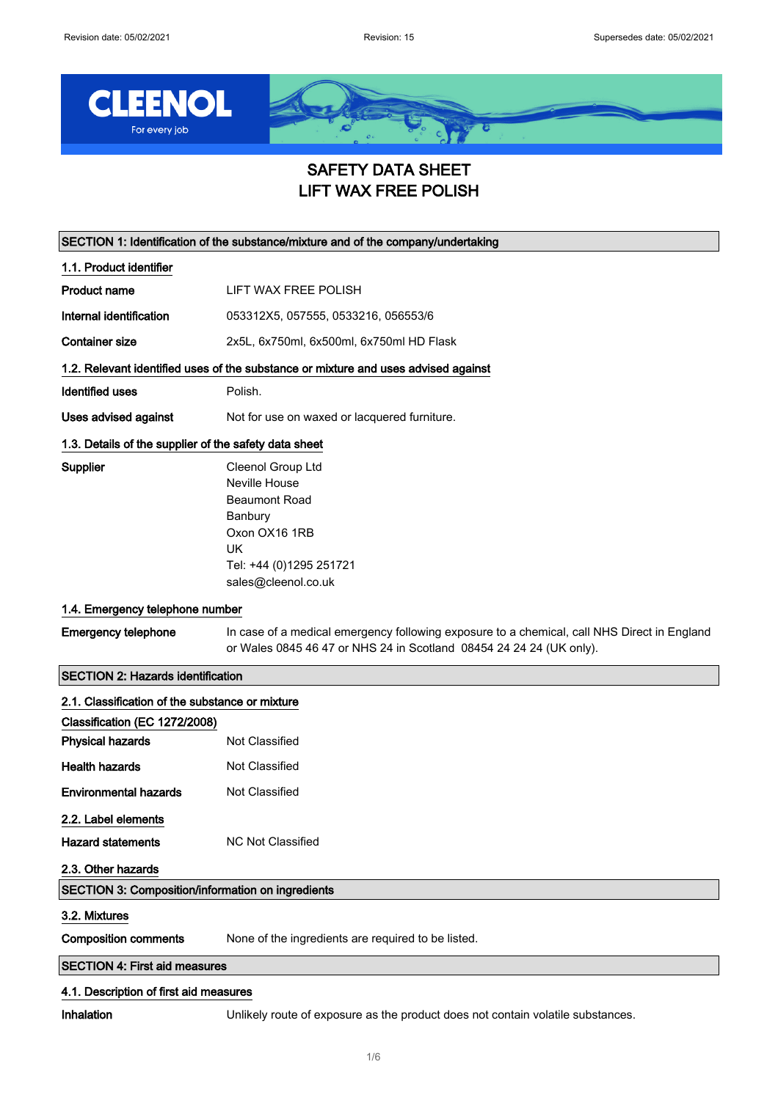

# SAFETY DATA SHEET LIFT WAX FREE POLISH

| SECTION 1: Identification of the substance/mixture and of the company/undertaking |                                                                                                                                                                    |  |
|-----------------------------------------------------------------------------------|--------------------------------------------------------------------------------------------------------------------------------------------------------------------|--|
| 1.1. Product identifier                                                           |                                                                                                                                                                    |  |
| <b>Product name</b>                                                               | LIFT WAX FREE POLISH                                                                                                                                               |  |
| Internal identification                                                           | 053312X5, 057555, 0533216, 056553/6                                                                                                                                |  |
| <b>Container size</b>                                                             | 2x5L, 6x750ml, 6x500ml, 6x750ml HD Flask                                                                                                                           |  |
|                                                                                   | 1.2. Relevant identified uses of the substance or mixture and uses advised against                                                                                 |  |
| Identified uses                                                                   | Polish.                                                                                                                                                            |  |
| Uses advised against                                                              | Not for use on waxed or lacquered furniture.                                                                                                                       |  |
| 1.3. Details of the supplier of the safety data sheet                             |                                                                                                                                                                    |  |
| Supplier                                                                          | Cleenol Group Ltd<br>Neville House<br><b>Beaumont Road</b><br>Banbury<br>Oxon OX16 1RB<br>UK<br>Tel: +44 (0)1295 251721<br>sales@cleenol.co.uk                     |  |
| 1.4. Emergency telephone number                                                   |                                                                                                                                                                    |  |
| <b>Emergency telephone</b>                                                        | In case of a medical emergency following exposure to a chemical, call NHS Direct in England<br>or Wales 0845 46 47 or NHS 24 in Scotland 08454 24 24 24 (UK only). |  |
| <b>SECTION 2: Hazards identification</b>                                          |                                                                                                                                                                    |  |
| 2.1. Classification of the substance or mixture                                   |                                                                                                                                                                    |  |
| Classification (EC 1272/2008)                                                     |                                                                                                                                                                    |  |
| <b>Physical hazards</b>                                                           | Not Classified                                                                                                                                                     |  |
| <b>Health hazards</b>                                                             | Not Classified                                                                                                                                                     |  |
| <b>Environmental hazards</b>                                                      | Not Classified                                                                                                                                                     |  |
| 2.2. Label elements                                                               |                                                                                                                                                                    |  |
| <b>Hazard statements</b>                                                          | <b>NC Not Classified</b>                                                                                                                                           |  |
| 2.3. Other hazards                                                                |                                                                                                                                                                    |  |
| <b>SECTION 3: Composition/information on ingredients</b>                          |                                                                                                                                                                    |  |
| 3.2. Mixtures                                                                     |                                                                                                                                                                    |  |
| <b>Composition comments</b>                                                       | None of the ingredients are required to be listed.                                                                                                                 |  |
| <b>SECTION 4: First aid measures</b>                                              |                                                                                                                                                                    |  |
| 4.1. Description of first aid measures                                            |                                                                                                                                                                    |  |

Inhalation Unlikely route of exposure as the product does not contain volatile substances.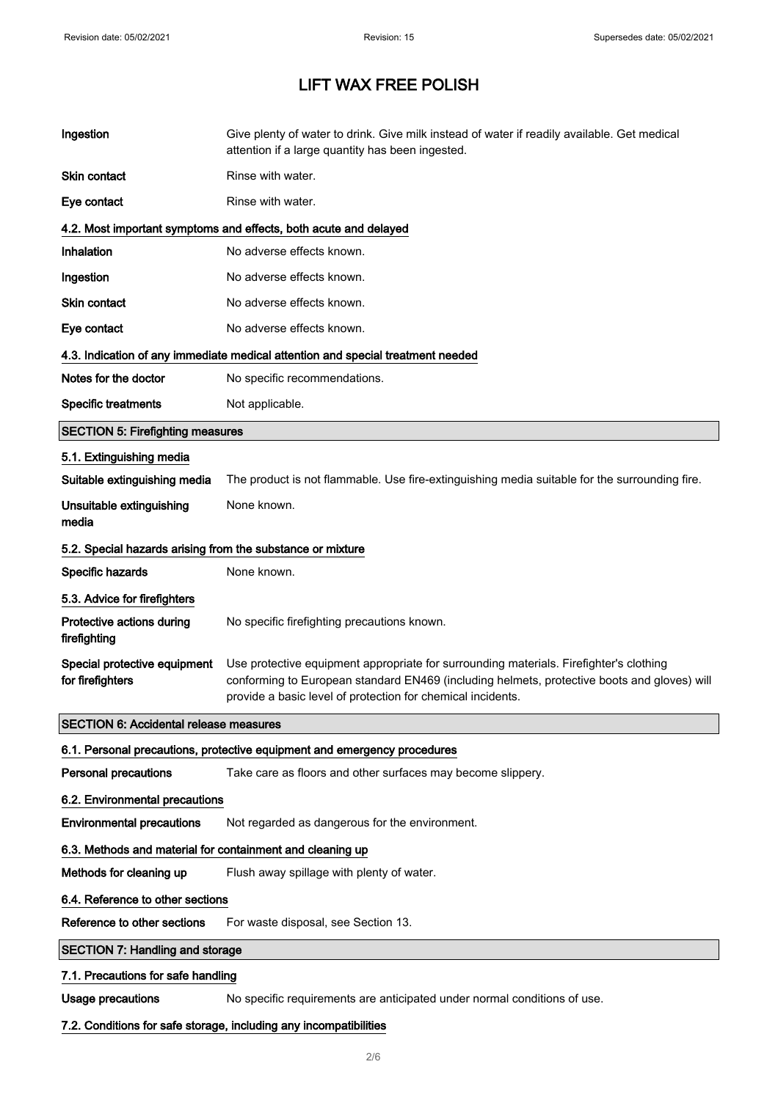| Ingestion                                                         | Give plenty of water to drink. Give milk instead of water if readily available. Get medical<br>attention if a large quantity has been ingested.                                                                                                      |  |  |
|-------------------------------------------------------------------|------------------------------------------------------------------------------------------------------------------------------------------------------------------------------------------------------------------------------------------------------|--|--|
| <b>Skin contact</b>                                               | Rinse with water.                                                                                                                                                                                                                                    |  |  |
| Eye contact                                                       | Rinse with water.                                                                                                                                                                                                                                    |  |  |
|                                                                   | 4.2. Most important symptoms and effects, both acute and delayed                                                                                                                                                                                     |  |  |
| Inhalation                                                        | No adverse effects known.                                                                                                                                                                                                                            |  |  |
| Ingestion                                                         | No adverse effects known.                                                                                                                                                                                                                            |  |  |
| <b>Skin contact</b>                                               | No adverse effects known.                                                                                                                                                                                                                            |  |  |
| Eye contact                                                       | No adverse effects known.                                                                                                                                                                                                                            |  |  |
|                                                                   | 4.3. Indication of any immediate medical attention and special treatment needed                                                                                                                                                                      |  |  |
| Notes for the doctor                                              | No specific recommendations.                                                                                                                                                                                                                         |  |  |
| <b>Specific treatments</b>                                        | Not applicable.                                                                                                                                                                                                                                      |  |  |
| <b>SECTION 5: Firefighting measures</b>                           |                                                                                                                                                                                                                                                      |  |  |
| 5.1. Extinguishing media                                          |                                                                                                                                                                                                                                                      |  |  |
| Suitable extinguishing media                                      | The product is not flammable. Use fire-extinguishing media suitable for the surrounding fire.                                                                                                                                                        |  |  |
| Unsuitable extinguishing<br>media                                 | None known.                                                                                                                                                                                                                                          |  |  |
| 5.2. Special hazards arising from the substance or mixture        |                                                                                                                                                                                                                                                      |  |  |
| Specific hazards                                                  | None known.                                                                                                                                                                                                                                          |  |  |
| 5.3. Advice for firefighters                                      |                                                                                                                                                                                                                                                      |  |  |
| Protective actions during<br>firefighting                         | No specific firefighting precautions known.                                                                                                                                                                                                          |  |  |
| Special protective equipment<br>for firefighters                  | Use protective equipment appropriate for surrounding materials. Firefighter's clothing<br>conforming to European standard EN469 (including helmets, protective boots and gloves) will<br>provide a basic level of protection for chemical incidents. |  |  |
| <b>SECTION 6: Accidental release measures</b>                     |                                                                                                                                                                                                                                                      |  |  |
|                                                                   | 6.1. Personal precautions, protective equipment and emergency procedures                                                                                                                                                                             |  |  |
| <b>Personal precautions</b>                                       | Take care as floors and other surfaces may become slippery.                                                                                                                                                                                          |  |  |
| 6.2. Environmental precautions                                    |                                                                                                                                                                                                                                                      |  |  |
| <b>Environmental precautions</b>                                  | Not regarded as dangerous for the environment.                                                                                                                                                                                                       |  |  |
| 6.3. Methods and material for containment and cleaning up         |                                                                                                                                                                                                                                                      |  |  |
| Methods for cleaning up                                           | Flush away spillage with plenty of water.                                                                                                                                                                                                            |  |  |
| 6.4. Reference to other sections                                  |                                                                                                                                                                                                                                                      |  |  |
| Reference to other sections                                       | For waste disposal, see Section 13.                                                                                                                                                                                                                  |  |  |
| <b>SECTION 7: Handling and storage</b>                            |                                                                                                                                                                                                                                                      |  |  |
| 7.1. Precautions for safe handling                                |                                                                                                                                                                                                                                                      |  |  |
| <b>Usage precautions</b>                                          | No specific requirements are anticipated under normal conditions of use.                                                                                                                                                                             |  |  |
| 7.2. Conditions for safe storage, including any incompatibilities |                                                                                                                                                                                                                                                      |  |  |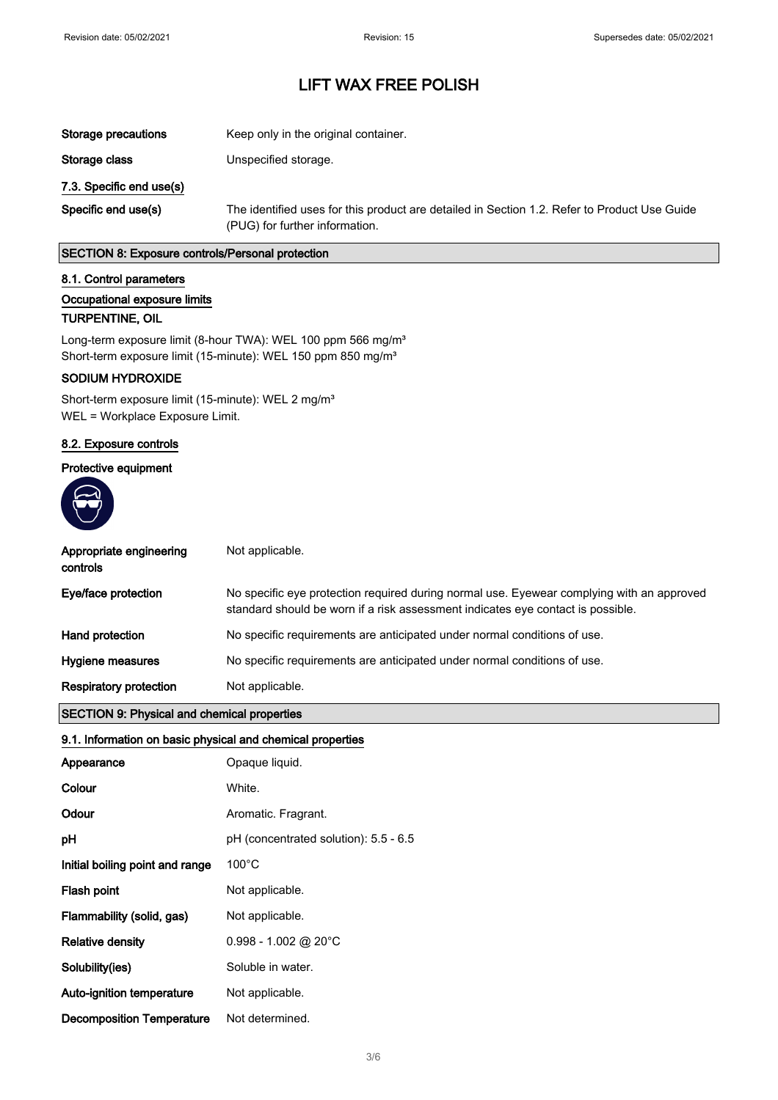| Storage precautions      | Keep only in the original container.                                                                                           |  |
|--------------------------|--------------------------------------------------------------------------------------------------------------------------------|--|
| Storage class            | Unspecified storage.                                                                                                           |  |
| 7.3. Specific end use(s) |                                                                                                                                |  |
| Specific end use(s)      | The identified uses for this product are detailed in Section 1.2. Refer to Product Use Guide<br>(PUG) for further information. |  |

#### SECTION 8: Exposure controls/Personal protection

#### 8.1. Control parameters

### Occupational exposure limits

#### TURPENTINE, OIL

Long-term exposure limit (8-hour TWA): WEL 100 ppm 566 mg/m<sup>3</sup> Short-term exposure limit (15-minute): WEL 150 ppm 850 mg/m<sup>3</sup>

### SODIUM HYDROXIDE

Short-term exposure limit (15-minute): WEL 2 mg/m<sup>3</sup> WEL = Workplace Exposure Limit.

#### 8.2. Exposure controls

## Protective equipment



| Appropriate engineering<br>controls | Not applicable.                                                                                                                                                              |
|-------------------------------------|------------------------------------------------------------------------------------------------------------------------------------------------------------------------------|
| Eye/face protection                 | No specific eye protection required during normal use. Eyewear complying with an approved<br>standard should be worn if a risk assessment indicates eye contact is possible. |
| Hand protection                     | No specific requirements are anticipated under normal conditions of use.                                                                                                     |
| Hygiene measures                    | No specific requirements are anticipated under normal conditions of use.                                                                                                     |
| <b>Respiratory protection</b>       | Not applicable.                                                                                                                                                              |
|                                     |                                                                                                                                                                              |

## SECTION 9: Physical and chemical properties

## 9.1. Information on basic physical and chemical properties

| Appearance                       | Opaque liquid.                        |
|----------------------------------|---------------------------------------|
| Colour                           | White.                                |
| Odour                            | Aromatic. Fragrant.                   |
| рH                               | pH (concentrated solution): 5.5 - 6.5 |
| Initial boiling point and range  | $100^{\circ}$ C                       |
| Flash point                      | Not applicable.                       |
| Flammability (solid, gas)        | Not applicable.                       |
| <b>Relative density</b>          | $0.998 - 1.002$ @ 20°C                |
| Solubility(ies)                  | Soluble in water.                     |
| Auto-ignition temperature        | Not applicable.                       |
| <b>Decomposition Temperature</b> | Not determined.                       |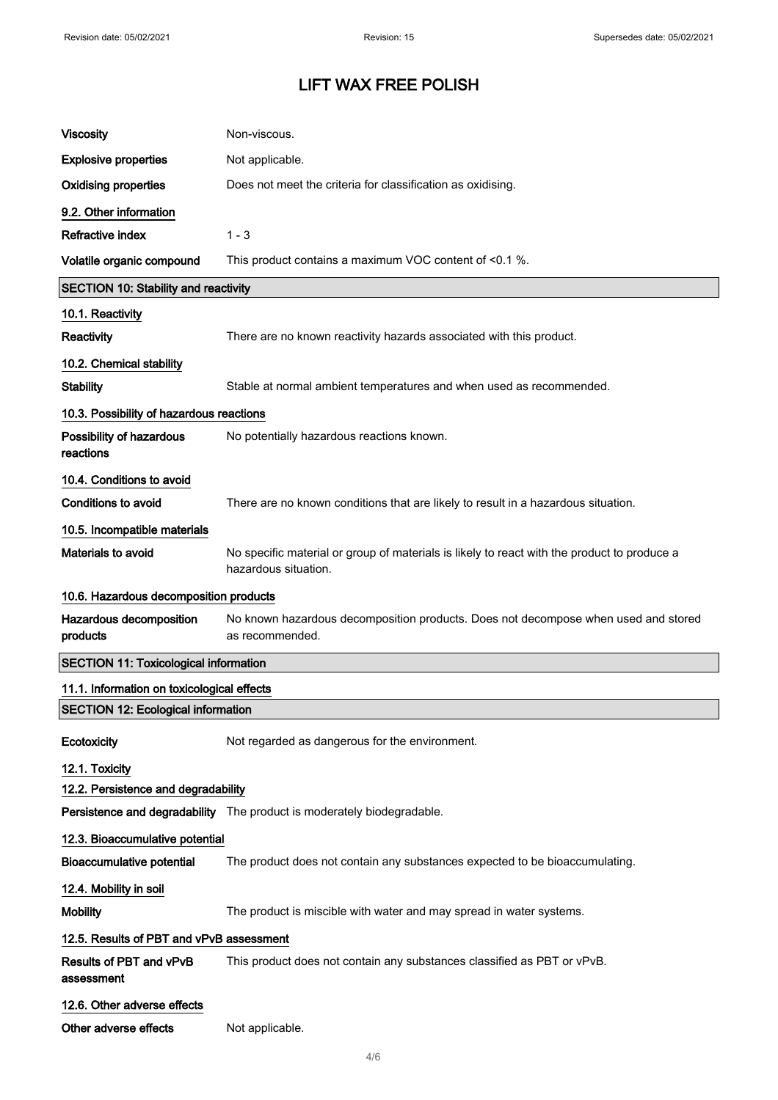| <b>Viscosity</b>                             | Non-viscous.                                                                                                        |  |
|----------------------------------------------|---------------------------------------------------------------------------------------------------------------------|--|
| <b>Explosive properties</b>                  | Not applicable.                                                                                                     |  |
| <b>Oxidising properties</b>                  | Does not meet the criteria for classification as oxidising.                                                         |  |
| 9.2. Other information                       |                                                                                                                     |  |
| Refractive index                             | $1 - 3$                                                                                                             |  |
| Volatile organic compound                    | This product contains a maximum VOC content of <0.1 %.                                                              |  |
| <b>SECTION 10: Stability and reactivity</b>  |                                                                                                                     |  |
| 10.1. Reactivity                             |                                                                                                                     |  |
| <b>Reactivity</b>                            | There are no known reactivity hazards associated with this product.                                                 |  |
| 10.2. Chemical stability                     |                                                                                                                     |  |
| <b>Stability</b>                             | Stable at normal ambient temperatures and when used as recommended.                                                 |  |
| 10.3. Possibility of hazardous reactions     |                                                                                                                     |  |
| Possibility of hazardous<br>reactions        | No potentially hazardous reactions known.                                                                           |  |
| 10.4. Conditions to avoid                    |                                                                                                                     |  |
| <b>Conditions to avoid</b>                   | There are no known conditions that are likely to result in a hazardous situation.                                   |  |
| 10.5. Incompatible materials                 |                                                                                                                     |  |
| Materials to avoid                           | No specific material or group of materials is likely to react with the product to produce a<br>hazardous situation. |  |
| 10.6. Hazardous decomposition products       |                                                                                                                     |  |
|                                              |                                                                                                                     |  |
| Hazardous decomposition<br>products          | No known hazardous decomposition products. Does not decompose when used and stored<br>as recommended.               |  |
| <b>SECTION 11: Toxicological information</b> |                                                                                                                     |  |
| 11.1. Information on toxicological effects   |                                                                                                                     |  |
| <b>SECTION 12: Ecological information</b>    |                                                                                                                     |  |
| Ecotoxicity                                  | Not regarded as dangerous for the environment.                                                                      |  |
| 12.1. Toxicity                               |                                                                                                                     |  |
| 12.2. Persistence and degradability          |                                                                                                                     |  |
|                                              | Persistence and degradability The product is moderately biodegradable.                                              |  |
| 12.3. Bioaccumulative potential              |                                                                                                                     |  |
| <b>Bioaccumulative potential</b>             | The product does not contain any substances expected to be bioaccumulating.                                         |  |
| 12.4. Mobility in soil                       |                                                                                                                     |  |
| <b>Mobility</b>                              | The product is miscible with water and may spread in water systems.                                                 |  |
| 12.5. Results of PBT and vPvB assessment     |                                                                                                                     |  |
| Results of PBT and vPvB<br>assessment        | This product does not contain any substances classified as PBT or vPvB.                                             |  |
| 12.6. Other adverse effects                  |                                                                                                                     |  |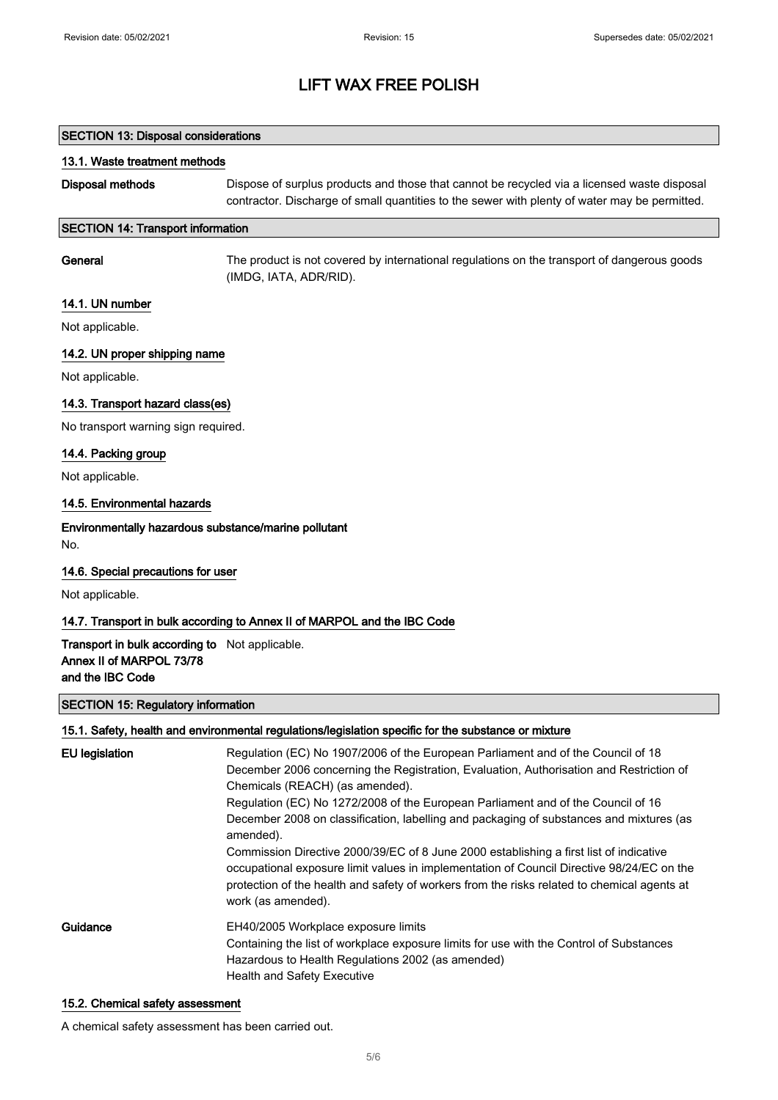# SECTION 13: Disposal considerations 13.1. Waste treatment methods Disposal methods Dispose of surplus products and those that cannot be recycled via a licensed waste disposal contractor. Discharge of small quantities to the sewer with plenty of water may be permitted. SECTION 14: Transport information General The product is not covered by international regulations on the transport of dangerous goods (IMDG, IATA, ADR/RID). 14.1. UN number Not applicable. 14.2. UN proper shipping name Not applicable. 14.3. Transport hazard class(es) No transport warning sign required. 14.4. Packing group Not applicable. 14.5. Environmental hazards Environmentally hazardous substance/marine pollutant No. 14.6. Special precautions for user Not applicable. 14.7. Transport in bulk according to Annex II of MARPOL and the IBC Code Transport in bulk according to Not applicable. Annex II of MARPOL 73/78 and the IBC Code SECTION 15: Regulatory information 15.1. Safety, health and environmental regulations/legislation specific for the substance or mixture EU legislation Regulation (EC) No 1907/2006 of the European Parliament and of the Council of 18 December 2006 concerning the Registration, Evaluation, Authorisation and Restriction of Chemicals (REACH) (as amended). Regulation (EC) No 1272/2008 of the European Parliament and of the Council of 16 December 2008 on classification, labelling and packaging of substances and mixtures (as amended).

Commission Directive 2000/39/EC of 8 June 2000 establishing a first list of indicative occupational exposure limit values in implementation of Council Directive 98/24/EC on the protection of the health and safety of workers from the risks related to chemical agents at work (as amended).

## Guidance EH40/2005 Workplace exposure limits Containing the list of workplace exposure limits for use with the Control of Substances Hazardous to Health Regulations 2002 (as amended) Health and Safety Executive

#### 15.2. Chemical safety assessment

A chemical safety assessment has been carried out.